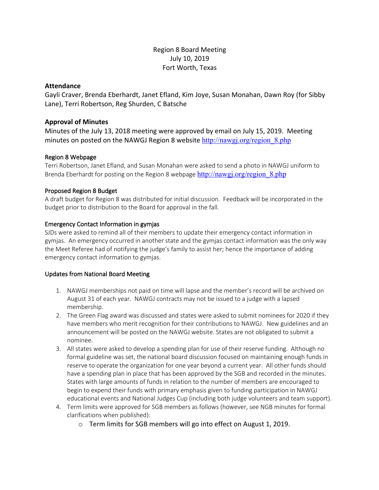# Region 8 Board Meeting July 10, 2019 Fort Worth, Texas

## **Attendance**

Gayli Craver, Brenda Eberhardt, Janet Efland, Kim Joye, Susan Monahan, Dawn Roy (for Sibby Lane), Terri Robertson, Reg Shurden, C Batsche

# **Approval of Minutes**

Minutes of the July 13, 2018 meeting were approved by email on July 15, 2019. Meeting minutes on posted on the NAWGJ Region 8 website http://nawgj.org/region 8.php

## Region 8 Webpage

Terri Robertson, Janet Efland, and Susan Monahan were asked to send a photo in NAWGJ uniform to Brenda Eberhardt for posting on the Region 8 webpage http://nawgj.org/region 8.php

## Proposed Region 8 Budget

A draft budget for Region 8 was distributed for initial discussion. Feedback will be incorporated in the budget prior to distribution to the Board for approval in the fall.

## Emergency Contact Information in gymjas

SJDs were asked to remind all of their members to update their emergency contact information in gymjas. An emergency occurred in another state and the gymjas contact information was the only way the Meet Referee had of notifying the judge's family to assist her; hence the importance of adding emergency contact information to gymjas.

#### Updates from National Board Meeting

- 1. NAWGJ memberships not paid on time will lapse and the member's record will be archived on August 31 of each year. NAWGJ contracts may not be issued to a judge with a lapsed membership.
- 2. The Green Flag award was discussed and states were asked to submit nominees for 2020 if they have members who merit recognition for their contributions to NAWGJ. New guidelines and an announcement will be posted on the NAWGJ website. States are not obligated to submit a nominee.
- 3. All states were asked to develop a spending plan for use of their reserve funding. Although no formal guideline was set, the national board discussion focused on maintaining enough funds in reserve to operate the organization for one year beyond a current year. All other funds should have a spending plan in place that has been approved by the SGB and recorded in the minutes. States with large amounts of funds in relation to the number of members are encouraged to begin to expend their funds with primary emphasis given to funding participation in NAWGJ educational events and National Judges Cup (including both judge volunteers and team support).
- 4. Term limits were approved for SGB members as follows (however, see NGB minutes for formal clarifications when published):
	- o Term limits for SGB members will go into effect on August 1, 2019.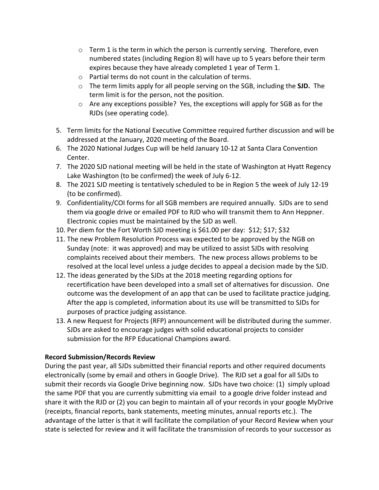- $\circ$  Term 1 is the term in which the person is currently serving. Therefore, even numbered states (including Region 8) will have up to 5 years before their term expires because they have already completed 1 year of Term 1.
- o Partial terms do not count in the calculation of terms.
- o The term limits apply for all people serving on the SGB, including the **SJD.** The term limit is for the person, not the position.
- o Are any exceptions possible? Yes, the exceptions will apply for SGB as for the RJDs (see operating code).
- 5. Term limits for the National Executive Committee required further discussion and will be addressed at the January, 2020 meeting of the Board.
- 6. The 2020 National Judges Cup will be held January 10-12 at Santa Clara Convention Center.
- 7. The 2020 SJD national meeting will be held in the state of Washington at Hyatt Regency Lake Washington (to be confirmed) the week of July 6-12.
- 8. The 2021 SJD meeting is tentatively scheduled to be in Region 5 the week of July 12-19 (to be confirmed).
- 9. Confidentiality/COI forms for all SGB members are required annually. SJDs are to send them via google drive or emailed PDF to RJD who will transmit them to Ann Heppner. Electronic copies must be maintained by the SJD as well.
- 10. Per diem for the Fort Worth SJD meeting is \$61.00 per day: \$12; \$17; \$32
- 11. The new Problem Resolution Process was expected to be approved by the NGB on Sunday (note: it was approved) and may be utilized to assist SJDs with resolving complaints received about their members. The new process allows problems to be resolved at the local level unless a judge decides to appeal a decision made by the SJD.
- 12. The ideas generated by the SJDs at the 2018 meeting regarding options for recertification have been developed into a small set of alternatives for discussion. One outcome was the development of an app that can be used to facilitate practice judging. After the app is completed, information about its use will be transmitted to SJDs for purposes of practice judging assistance.
- 13. A new Request for Projects (RFP) announcement will be distributed during the summer. SJDs are asked to encourage judges with solid educational projects to consider submission for the RFP Educational Champions award.

# **Record Submission/Records Review**

During the past year, all SJDs submitted their financial reports and other required documents electronically (some by email and others in Google Drive). The RJD set a goal for all SJDs to submit their records via Google Drive beginning now. SJDs have two choice: (1) simply upload the same PDF that you are currently submitting via email to a google drive folder instead and share it with the RJD or (2) you can begin to maintain all of your records in your google MyDrive (receipts, financial reports, bank statements, meeting minutes, annual reports etc.). The advantage of the latter is that it will facilitate the compilation of your Record Review when your state is selected for review and it will facilitate the transmission of records to your successor as